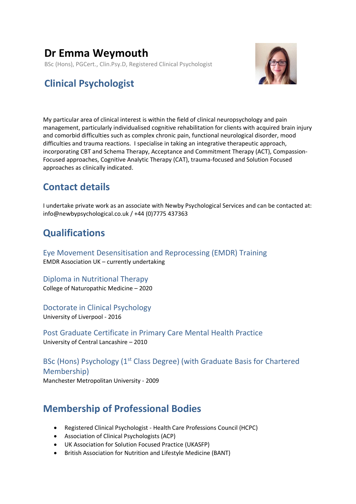# **Dr Emma Weymouth**

BSc (Hons), PGCert., Clin.Psy.D, Registered Clinical Psychologist



# **Clinical Psychologist**

My particular area of clinical interest is within the field of clinical neuropsychology and pain management, particularly individualised cognitive rehabilitation for clients with acquired brain injury and comorbid difficulties such as complex chronic pain, functional neurological disorder, mood difficulties and trauma reactions. I specialise in taking an integrative therapeutic approach, incorporating CBT and Schema Therapy, Acceptance and Commitment Therapy (ACT), Compassion-Focused approaches, Cognitive Analytic Therapy (CAT), trauma-focused and Solution Focused approaches as clinically indicated.

# **Contact details**

I undertake private work as an associate with Newby Psychological Services and can be contacted at: info@newbypsychological.co.uk / +44 (0)7775 437363

# **Qualifications**

Eye Movement Desensitisation and Reprocessing (EMDR) Training EMDR Association UK – currently undertaking

Diploma in Nutritional Therapy College of Naturopathic Medicine – 2020

Doctorate in Clinical Psychology University of Liverpool - 2016

Post Graduate Certificate in Primary Care Mental Health Practice University of Central Lancashire – 2010

BSc (Hons) Psychology (1<sup>st</sup> Class Degree) (with Graduate Basis for Chartered Membership) Manchester Metropolitan University - 2009

# **Membership of Professional Bodies**

- Registered Clinical Psychologist Health Care Professions Council (HCPC)
- Association of Clinical Psychologists (ACP)
- UK Association for Solution Focused Practice (UKASFP)
- British Association for Nutrition and Lifestyle Medicine (BANT)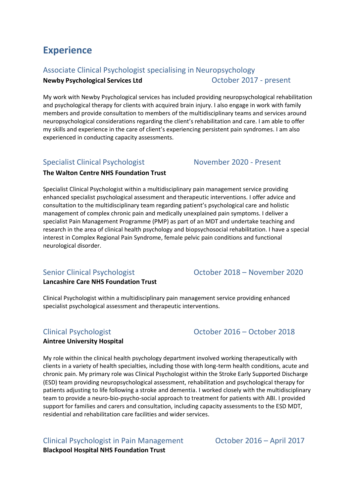# **Experience**

## Associate Clinical Psychologist specialising in Neuropsychology

**Newby Psychological Services Ltd Department COLOGIC 2017 - present** 

My work with Newby Psychological services has included providing neuropsychological rehabilitation and psychological therapy for clients with acquired brain injury. I also engage in work with family members and provide consultation to members of the multidisciplinary teams and services around neuropsychological considerations regarding the client's rehabilitation and care. I am able to offer my skills and experience in the care of client's experiencing persistent pain syndromes. I am also experienced in conducting capacity assessments.

## Specialist Clinical Psychologist November 2020 - Present

### **The Walton Centre NHS Foundation Trust**

Specialist Clinical Psychologist within a multidisciplinary pain management service providing enhanced specialist psychological assessment and therapeutic interventions. I offer advice and consultation to the multidisciplinary team regarding patient's psychological care and holistic management of complex chronic pain and medically unexplained pain symptoms. I deliver a specialist Pain Management Programme (PMP) as part of an MDT and undertake teaching and research in the area of clinical health psychology and biopsychosocial rehabilitation. I have a special interest in Complex Regional Pain Syndrome, female pelvic pain conditions and functional neurological disorder.

## Senior Clinical Psychologist October 2018 – November 2020

### **Lancashire Care NHS Foundation Trust**

Clinical Psychologist within a multidisciplinary pain management service providing enhanced specialist psychological assessment and therapeutic interventions.

### **Aintree University Hospital**

My role within the clinical health psychology department involved working therapeutically with clients in a variety of health specialties, including those with long-term health conditions, acute and chronic pain. My primary role was Clinical Psychologist within the Stroke Early Supported Discharge (ESD) team providing neuropsychological assessment, rehabilitation and psychological therapy for patients adjusting to life following a stroke and dementia. I worked closely with the multidisciplinary team to provide a neuro-bio-psycho-social approach to treatment for patients with ABI. I provided support for families and carers and consultation, including capacity assessments to the ESD MDT, residential and rehabilitation care facilities and wider services.

Clinical Psychologist in Pain Management October 2016 – April 2017 **Blackpool Hospital NHS Foundation Trust**

Clinical Psychologist October 2016 – October 2018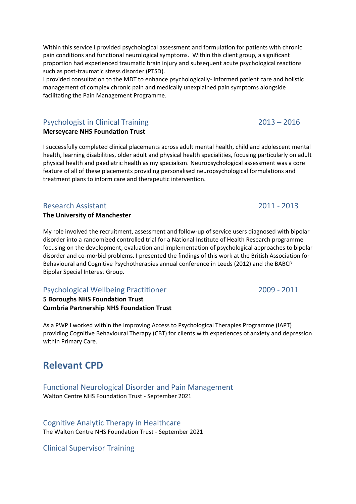I provided consultation to the MDT to enhance psychologically- informed patient care and holistic management of complex chronic pain and medically unexplained pain symptoms alongside facilitating the Pain Management Programme.

# Psychologist in Clinical Training 2013 – 2016

## **Merseycare NHS Foundation Trust**

I successfully completed clinical placements across adult mental health, child and adolescent mental health, learning disabilities, older adult and physical health specialities, focusing particularly on adult physical health and paediatric health as my specialism. Neuropsychological assessment was a core feature of all of these placements providing personalised neuropsychological formulations and treatment plans to inform care and therapeutic intervention.

# Research Assistant 2011 - 2013

## **The University of Manchester**

My role involved the recruitment, assessment and follow-up of service users diagnosed with bipolar disorder into a randomized controlled trial for a National Institute of Health Research programme focusing on the development, evaluation and implementation of psychological approaches to bipolar disorder and co-morbid problems. I presented the findings of this work at the British Association for Behavioural and Cognitive Psychotherapies annual conference in Leeds (2012) and the BABCP Bipolar Special Interest Group.

# Psychological Wellbeing Practitioner 2009 - 2011

**5 Boroughs NHS Foundation Trust Cumbria Partnership NHS Foundation Trust**

As a PWP I worked within the Improving Access to Psychological Therapies Programme (IAPT) providing Cognitive Behavioural Therapy (CBT) for clients with experiences of anxiety and depression within Primary Care.

# **Relevant CPD**

Functional Neurological Disorder and Pain Management Walton Centre NHS Foundation Trust - September 2021

## Cognitive Analytic Therapy in Healthcare

The Walton Centre NHS Foundation Trust - September 2021

Clinical Supervisor Training